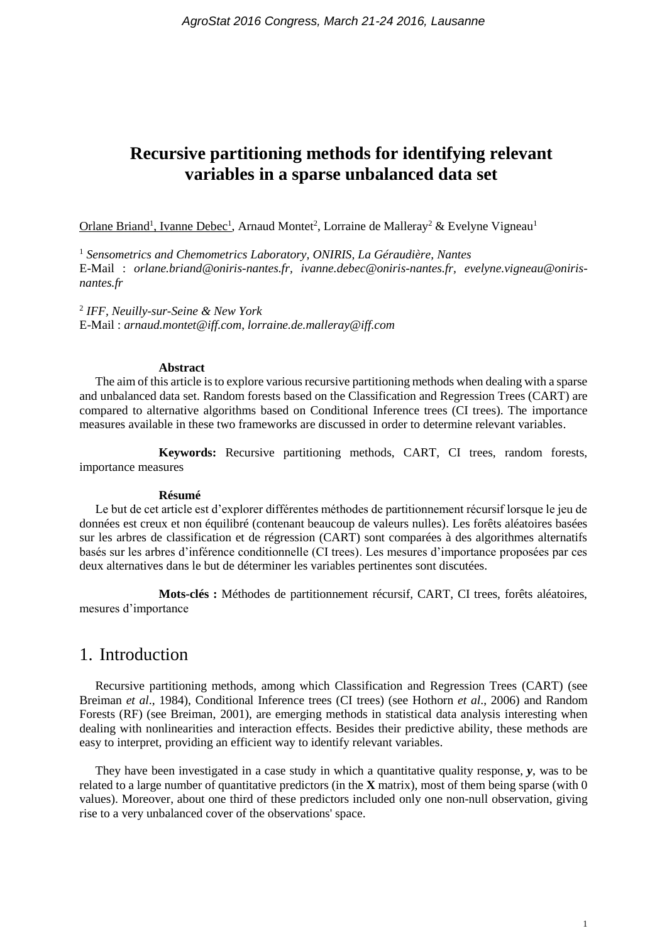# **Recursive partitioning methods for identifying relevant variables in a sparse unbalanced data set**

Orlane Briand<sup>1</sup>, Ivanne Debec<sup>1</sup>, Arnaud Montet<sup>2</sup>, Lorraine de Malleray<sup>2</sup> & Evelyne Vigneau<sup>1</sup>

<sup>1</sup> *Sensometrics and Chemometrics Laboratory, ONIRIS, La Géraudière, Nantes* E-Mail : *orlane.briand@oniris-nantes.fr, ivanne.debec@oniris-nantes.fr, evelyne.vigneau@onirisnantes.fr*

2 *IFF, Neuilly-sur-Seine & New York* E-Mail : *arnaud.montet@iff.com*, *lorraine.de.malleray@iff.com*

#### **Abstract**

The aim of this article is to explore various recursive partitioning methods when dealing with a sparse and unbalanced data set. Random forests based on the Classification and Regression Trees (CART) are compared to alternative algorithms based on Conditional Inference trees (CI trees). The importance measures available in these two frameworks are discussed in order to determine relevant variables.

**Keywords:** Recursive partitioning methods, CART, CI trees, random forests, importance measures

#### **Résumé**

Le but de cet article est d'explorer différentes méthodes de partitionnement récursif lorsque le jeu de données est creux et non équilibré (contenant beaucoup de valeurs nulles). Les forêts aléatoires basées sur les arbres de classification et de régression (CART) sont comparées à des algorithmes alternatifs basés sur les arbres d'inférence conditionnelle (CI trees). Les mesures d'importance proposées par ces deux alternatives dans le but de déterminer les variables pertinentes sont discutées.

**Mots-clés :** Méthodes de partitionnement récursif, CART, CI trees, forêts aléatoires, mesures d'importance

# 1. Introduction

Recursive partitioning methods, among which Classification and Regression Trees (CART) (see Breiman *et al*., 1984), Conditional Inference trees (CI trees) (see Hothorn *et al*., 2006) and Random Forests (RF) (see Breiman, 2001), are emerging methods in statistical data analysis interesting when dealing with nonlinearities and interaction effects. Besides their predictive ability, these methods are easy to interpret, providing an efficient way to identify relevant variables.

They have been investigated in a case study in which a quantitative quality response, *y*, was to be related to a large number of quantitative predictors (in the **X** matrix), most of them being sparse (with 0 values). Moreover, about one third of these predictors included only one non-null observation, giving rise to a very unbalanced cover of the observations' space.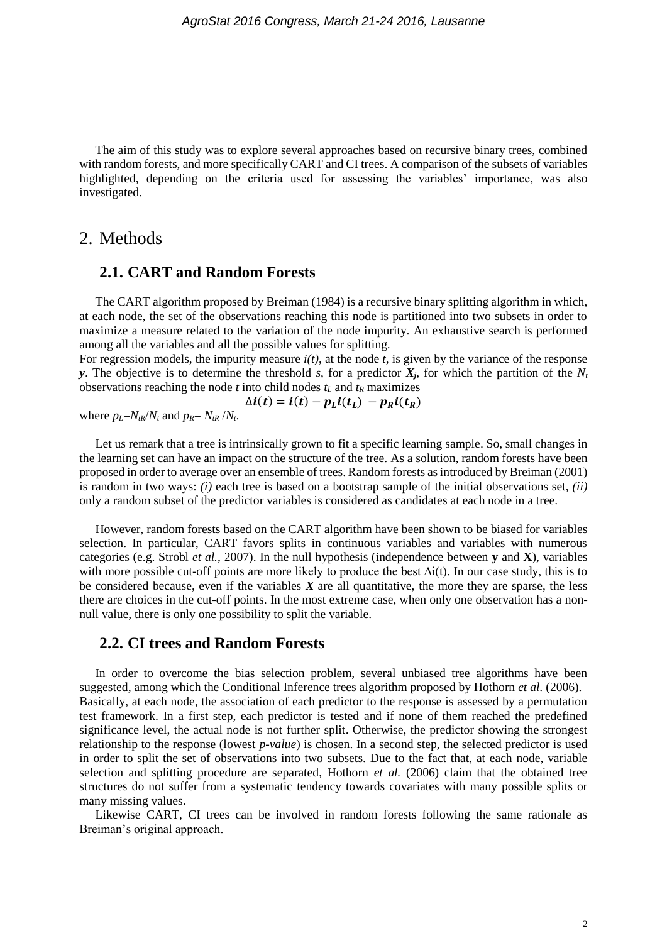The aim of this study was to explore several approaches based on recursive binary trees, combined with random forests, and more specifically CART and CI trees. A comparison of the subsets of variables highlighted, depending on the criteria used for assessing the variables' importance, was also investigated.

## 2. Methods

### **2.1. CART and Random Forests**

The CART algorithm proposed by Breiman (1984) is a recursive binary splitting algorithm in which, at each node, the set of the observations reaching this node is partitioned into two subsets in order to maximize a measure related to the variation of the node impurity. An exhaustive search is performed among all the variables and all the possible values for splitting.

For regression models, the impurity measure *i(t)*, at the node *t*, is given by the variance of the response *y*. The objective is to determine the threshold *s*, for a predictor  $X_i$ , for which the partition of the  $N_t$ observations reaching the node *t* into child nodes  $t_L$  and  $t_R$  maximizes

$$
\Delta i(t) = i(t) - p_L i(t_L) - p_R i(t_R)
$$

where  $p_L = N_t R / N_t$  and  $p_R = N_t R / N_t$ .

Let us remark that a tree is intrinsically grown to fit a specific learning sample. So, small changes in the learning set can have an impact on the structure of the tree. As a solution, random forests have been proposed in order to average over an ensemble of trees. Random forests as introduced by Breiman (2001) is random in two ways: *(i)* each tree is based on a bootstrap sample of the initial observations set, *(ii)* only a random subset of the predictor variables is considered as candidates at each node in a tree.

However, random forests based on the CART algorithm have been shown to be biased for variables selection. In particular, CART favors splits in continuous variables and variables with numerous categories (e.g. Strobl *et al.*, 2007). In the null hypothesis (independence between **y** and **X**), variables with more possible cut-off points are more likely to produce the best ∆i(t). In our case study, this is to be considered because, even if the variables *X* are all quantitative, the more they are sparse, the less there are choices in the cut-off points. In the most extreme case, when only one observation has a nonnull value, there is only one possibility to split the variable.

### **2.2. CI trees and Random Forests**

In order to overcome the bias selection problem, several unbiased tree algorithms have been suggested, among which the Conditional Inference trees algorithm proposed by Hothorn *et al.* (2006). Basically, at each node, the association of each predictor to the response is assessed by a permutation test framework. In a first step, each predictor is tested and if none of them reached the predefined significance level, the actual node is not further split. Otherwise, the predictor showing the strongest relationship to the response (lowest *p-value*) is chosen. In a second step, the selected predictor is used in order to split the set of observations into two subsets. Due to the fact that, at each node, variable selection and splitting procedure are separated, Hothorn *et al.* (2006) claim that the obtained tree structures do not suffer from a systematic tendency towards covariates with many possible splits or many missing values.

Likewise CART, CI trees can be involved in random forests following the same rationale as Breiman's original approach.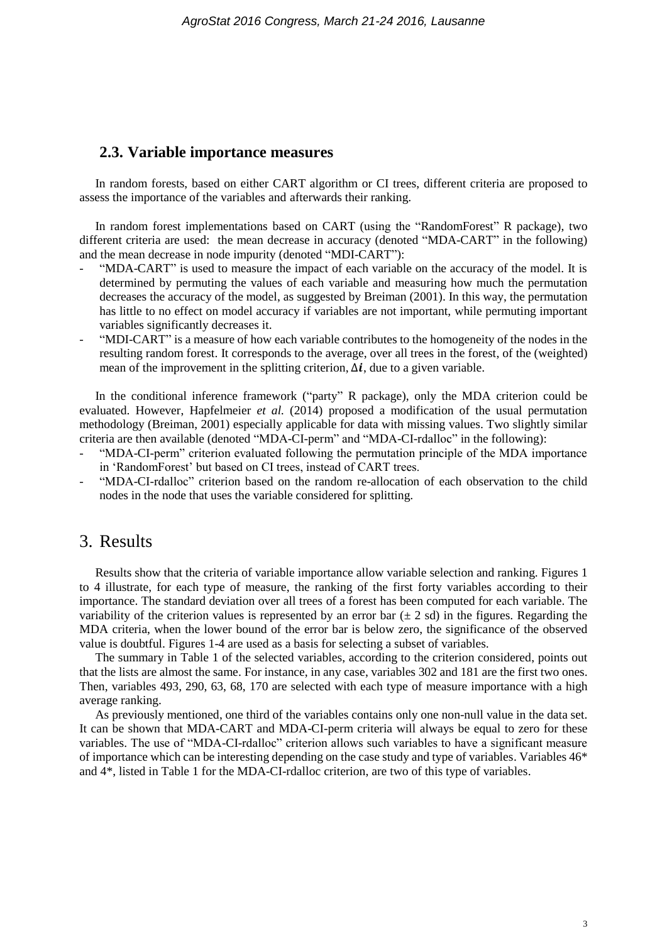#### **2.3. Variable importance measures**

In random forests, based on either CART algorithm or CI trees, different criteria are proposed to assess the importance of the variables and afterwards their ranking.

In random forest implementations based on CART (using the "RandomForest" R package), two different criteria are used: the mean decrease in accuracy (denoted "MDA-CART" in the following) and the mean decrease in node impurity (denoted "MDI-CART"):

- "MDA-CART" is used to measure the impact of each variable on the accuracy of the model. It is determined by permuting the values of each variable and measuring how much the permutation decreases the accuracy of the model, as suggested by Breiman (2001). In this way, the permutation has little to no effect on model accuracy if variables are not important, while permuting important variables significantly decreases it.
- "MDI-CART" is a measure of how each variable contributes to the homogeneity of the nodes in the resulting random forest. It corresponds to the average, over all trees in the forest, of the (weighted) mean of the improvement in the splitting criterion,  $\Delta i$ , due to a given variable.

In the conditional inference framework ("party" R package), only the MDA criterion could be evaluated. However, Hapfelmeier *et al.* (2014) proposed a modification of the usual permutation methodology (Breiman, 2001) especially applicable for data with missing values. Two slightly similar criteria are then available (denoted "MDA-CI-perm" and "MDA-CI-rdalloc" in the following):

- "MDA-CI-perm" criterion evaluated following the permutation principle of the MDA importance in 'RandomForest' but based on CI trees, instead of CART trees.
- "MDA-CI-rdalloc" criterion based on the random re-allocation of each observation to the child nodes in the node that uses the variable considered for splitting.

# 3. Results

Results show that the criteria of variable importance allow variable selection and ranking. Figures 1 to 4 illustrate, for each type of measure, the ranking of the first forty variables according to their importance. The standard deviation over all trees of a forest has been computed for each variable. The variability of the criterion values is represented by an error bar  $(\pm 2 \text{ sd})$  in the figures. Regarding the MDA criteria, when the lower bound of the error bar is below zero, the significance of the observed value is doubtful. Figures 1-4 are used as a basis for selecting a subset of variables.

The summary in Table 1 of the selected variables, according to the criterion considered, points out that the lists are almost the same. For instance, in any case, variables 302 and 181 are the first two ones. Then, variables 493, 290, 63, 68, 170 are selected with each type of measure importance with a high average ranking.

As previously mentioned, one third of the variables contains only one non-null value in the data set. It can be shown that MDA-CART and MDA-CI-perm criteria will always be equal to zero for these variables. The use of "MDA-CI-rdalloc" criterion allows such variables to have a significant measure of importance which can be interesting depending on the case study and type of variables. Variables 46\* and 4\*, listed in Table 1 for the MDA-CI-rdalloc criterion, are two of this type of variables.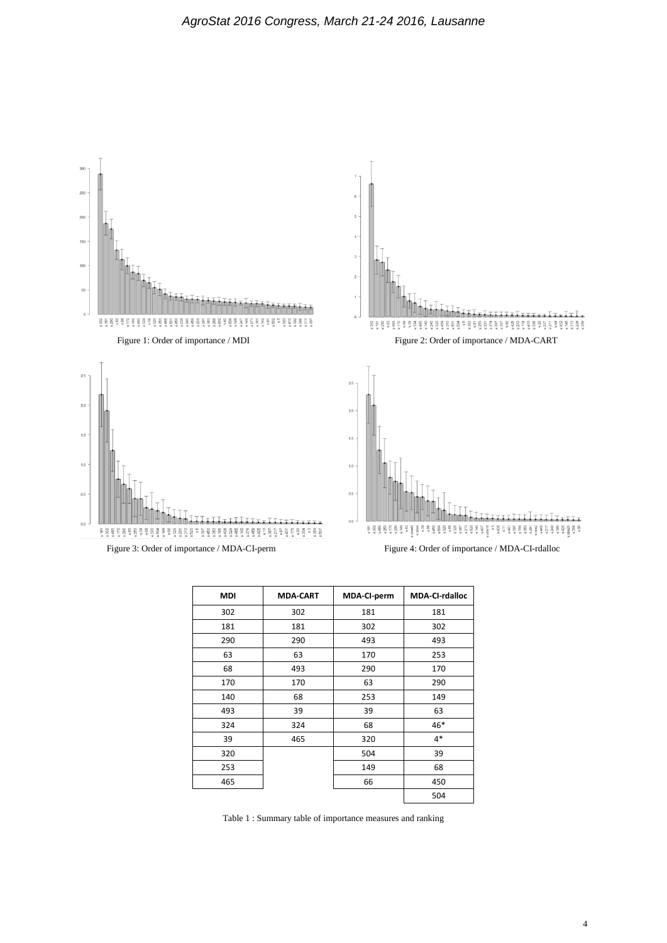

| <b>MDI</b> | <b>MDA-CART</b> | MDA-CI-perm | <b>MDA-CI-rdalloc</b> |
|------------|-----------------|-------------|-----------------------|
| 302        | 302             | 181         | 181                   |
| 181        | 181             | 302         | 302                   |
| 290        | 290             | 493         | 493                   |
| 63         | 63              | 170         | 253                   |
| 68         | 493             | 290         | 170                   |
| 170        | 170             | 63          | 290                   |
| 140        | 68              | 253         | 149                   |
| 493        | 39              | 39          | 63                    |
| 324        | 324             | 68          | 46*                   |
| 39         | 465             | 320         | $4*$                  |
| 320        |                 | 504         | 39                    |
| 253        |                 | 149         | 68                    |
| 465        |                 | 66          | 450                   |
|            |                 |             | 504                   |

Table 1 : Summary table of importance measures and ranking